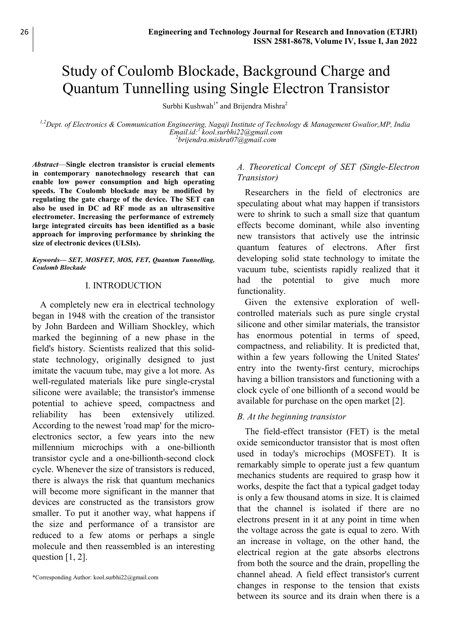# Study of Coulomb Blockade, Background Charge and Quantum Tunnelling using Single Electron Transistor

Surbhi Kushwah<sup>1\*</sup> and Brijendra Mishra<sup>2</sup>

<sup>1,2</sup>Dept. of Electronics & Communication Engineering, Nagaji Institute of Technology & Management Gwalior, MP, India Email.id:<sup>1</sup> kool.surbhi22@gmail.com  $^{2}$ brijendra.mishra $07$ @gmail.com

Abstract—Single electron transistor is crucial elements in contemporary nanotechnology research that can enable low power consumption and high operating speeds. The Coulomb blockade may be modified by regulating the gate charge of the device. The SET can also be used in DC ad RF mode as an ultrasensitive electrometer. Increasing the performance of extremely large integrated circuits has been identified as a basic approach for improving performance by shrinking the size of electronic devices (ULSIs).

#### Keywords— SET, MOSFET, MOS, FET, Quantum Tunnelling, Coulomb Blockade

#### I. INTRODUCTION

A completely new era in electrical technology began in 1948 with the creation of the transistor by John Bardeen and William Shockley, which marked the beginning of a new phase in the field's history. Scientists realized that this solidstate technology, originally designed to just imitate the vacuum tube, may give a lot more. As well-regulated materials like pure single-crystal silicone were available; the transistor's immense potential to achieve speed, compactness and reliability has been extensively utilized. According to the newest 'road map' for the microelectronics sector, a few years into the new millennium microchips with a one-billionth transistor cycle and a one-billionth-second clock cycle. Whenever the size of transistors is reduced, there is always the risk that quantum mechanics will become more significant in the manner that devices are constructed as the transistors grow smaller. To put it another way, what happens if the size and performance of a transistor are reduced to a few atoms or perhaps a single molecule and then reassembled is an interesting question  $[1, 2]$ .

## A. Theoretical Concept of SET (Single-Electron Transistor)

Researchers in the field of electronics are speculating about what may happen if transistors were to shrink to such a small size that quantum effects become dominant, while also inventing new transistors that actively use the intrinsic quantum features of electrons. After first developing solid state technology to imitate the vacuum tube, scientists rapidly realized that it had the potential to give much more functionality.

Given the extensive exploration of wellcontrolled materials such as pure single crystal silicone and other similar materials, the transistor has enormous potential in terms of speed, compactness, and reliability. It is predicted that, within a few years following the United States' entry into the twenty-first century, microchips having a billion transistors and functioning with a clock cycle of one billionth of a second would be available for purchase on the open market [2].

#### B. At the beginning transistor

The field-effect transistor (FET) is the metal oxide semiconductor transistor that is most often used in today's microchips (MOSFET). It is remarkably simple to operate just a few quantum mechanics students are required to grasp how it works, despite the fact that a typical gadget today is only a few thousand atoms in size. It is claimed that the channel is isolated if there are no electrons present in it at any point in time when the voltage across the gate is equal to zero. With an increase in voltage, on the other hand, the electrical region at the gate absorbs electrons from both the source and the drain, propelling the channel ahead. A field effect transistor's current changes in response to the tension that exists between its source and its drain when there is a

<sup>\*</sup>Corresponding Author: kool.surbhi22@gmail.com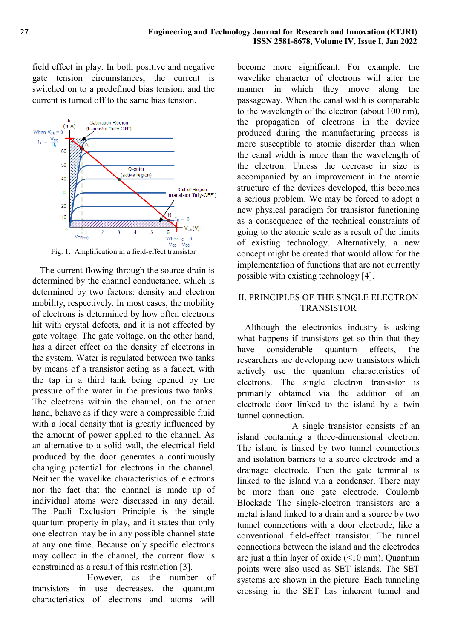field effect in play. In both positive and negative gate tension circumstances, the current is switched on to a predefined bias tension, and the current is turned off to the same bias tension.



Fig. 1. Amplification in a field-effect transistor

The current flowing through the source drain is determined by the channel conductance, which is determined by two factors: density and electron mobility, respectively. In most cases, the mobility of electrons is determined by how often electrons hit with crystal defects, and it is not affected by gate voltage. The gate voltage, on the other hand, has a direct effect on the density of electrons in the system. Water is regulated between two tanks by means of a transistor acting as a faucet, with the tap in a third tank being opened by the pressure of the water in the previous two tanks. The electrons within the channel, on the other hand, behave as if they were a compressible fluid with a local density that is greatly influenced by the amount of power applied to the channel. As an alternative to a solid wall, the electrical field produced by the door generates a continuously changing potential for electrons in the channel. Neither the wavelike characteristics of electrons nor the fact that the channel is made up of individual atoms were discussed in any detail. The Pauli Exclusion Principle is the single quantum property in play, and it states that only one electron may be in any possible channel state at any one time. Because only specific electrons may collect in the channel, the current flow is constrained as a result of this restriction [3].

 However, as the number of transistors in use decreases, the quantum characteristics of electrons and atoms will

become more significant. For example, the wavelike character of electrons will alter the manner in which they move along the passageway. When the canal width is comparable to the wavelength of the electron (about 100 nm), the propagation of electrons in the device produced during the manufacturing process is more susceptible to atomic disorder than when the canal width is more than the wavelength of the electron. Unless the decrease in size is accompanied by an improvement in the atomic structure of the devices developed, this becomes a serious problem. We may be forced to adopt a new physical paradigm for transistor functioning as a consequence of the technical constraints of going to the atomic scale as a result of the limits of existing technology. Alternatively, a new concept might be created that would allow for the implementation of functions that are not currently possible with existing technology [4].

# II. PRINCIPLES OF THE SINGLE ELECTRON TRANSISTOR

Although the electronics industry is asking what happens if transistors get so thin that they have considerable quantum effects, the researchers are developing new transistors which actively use the quantum characteristics of electrons. The single electron transistor is primarily obtained via the addition of an electrode door linked to the island by a twin tunnel connection.

 A single transistor consists of an island containing a three-dimensional electron. The island is linked by two tunnel connections and isolation barriers to a source electrode and a drainage electrode. Then the gate terminal is linked to the island via a condenser. There may be more than one gate electrode. Coulomb Blockade The single-electron transistors are a metal island linked to a drain and a source by two tunnel connections with a door electrode, like a conventional field-effect transistor. The tunnel connections between the island and the electrodes are just a thin layer of oxide (<10 mm). Quantum points were also used as SET islands. The SET systems are shown in the picture. Each tunneling crossing in the SET has inherent tunnel and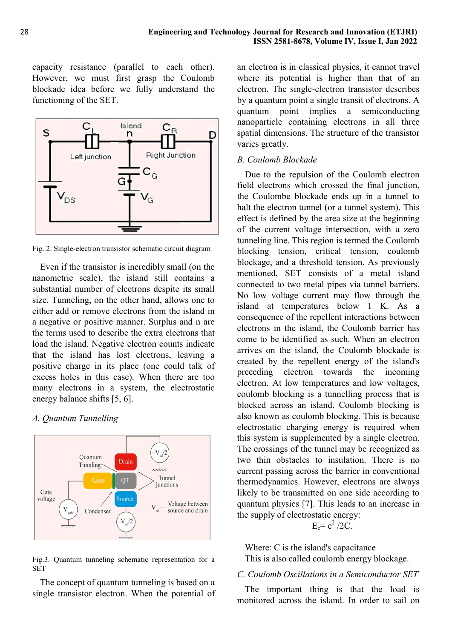capacity resistance (parallel to each other). However, we must first grasp the Coulomb blockade idea before we fully understand the functioning of the SET.



Fig. 2. Single-electron transistor schematic circuit diagram

Even if the transistor is incredibly small (on the nanometric scale), the island still contains a substantial number of electrons despite its small size. Tunneling, on the other hand, allows one to either add or remove electrons from the island in a negative or positive manner. Surplus and n are the terms used to describe the extra electrons that load the island. Negative electron counts indicate that the island has lost electrons, leaving a positive charge in its place (one could talk of excess holes in this case). When there are too many electrons in a system, the electrostatic energy balance shifts [5, 6].

## A. Quantum Tunnelling



Fig.3. Quantum tunneling schematic representation for a SET

The concept of quantum tunneling is based on a single transistor electron. When the potential of

an electron is in classical physics, it cannot travel where its potential is higher than that of an electron. The single-electron transistor describes by a quantum point a single transit of electrons. A quantum point implies a semiconducting nanoparticle containing electrons in all three spatial dimensions. The structure of the transistor varies greatly.

#### B. Coulomb Blockade

Due to the repulsion of the Coulomb electron field electrons which crossed the final junction, the Coulombe blockade ends up in a tunnel to halt the electron tunnel (or a tunnel system). This effect is defined by the area size at the beginning of the current voltage intersection, with a zero tunneling line. This region is termed the Coulomb blocking tension, critical tension, coulomb blockage, and a threshold tension. As previously mentioned, SET consists of a metal island connected to two metal pipes via tunnel barriers. No low voltage current may flow through the island at temperatures below 1 K. As a consequence of the repellent interactions between electrons in the island, the Coulomb barrier has come to be identified as such. When an electron arrives on the island, the Coulomb blockade is created by the repellent energy of the island's preceding electron towards the incoming electron. At low temperatures and low voltages, coulomb blocking is a tunnelling process that is blocked across an island. Coulomb blocking is also known as coulomb blocking. This is because electrostatic charging energy is required when this system is supplemented by a single electron. The crossings of the tunnel may be recognized as two thin obstacles to insulation. There is no current passing across the barrier in conventional thermodynamics. However, electrons are always likely to be transmitted on one side according to quantum physics [7]. This leads to an increase in the supply of electrostatic energy:

 $E_c = e^2 / 2C$ .

Where: C is the island's capacitance This is also called coulomb energy blockage.

# C. Coulomb Oscillations in a Semiconductor SET

The important thing is that the load is monitored across the island. In order to sail on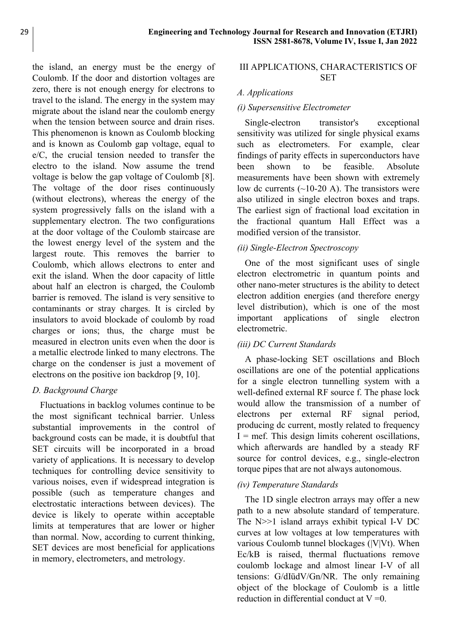the island, an energy must be the energy of Coulomb. If the door and distortion voltages are zero, there is not enough energy for electrons to travel to the island. The energy in the system may migrate about the island near the coulomb energy when the tension between source and drain rises. This phenomenon is known as Coulomb blocking and is known as Coulomb gap voltage, equal to e/C, the crucial tension needed to transfer the electro to the island. Now assume the trend voltage is below the gap voltage of Coulomb [8]. The voltage of the door rises continuously (without electrons), whereas the energy of the system progressively falls on the island with a supplementary electron. The two configurations at the door voltage of the Coulomb staircase are the lowest energy level of the system and the largest route. This removes the barrier to Coulomb, which allows electrons to enter and exit the island. When the door capacity of little about half an electron is charged, the Coulomb barrier is removed. The island is very sensitive to contaminants or stray charges. It is circled by insulators to avoid blockade of coulomb by road charges or ions; thus, the charge must be measured in electron units even when the door is a metallic electrode linked to many electrons. The charge on the condenser is just a movement of electrons on the positive ion backdrop [9, 10].

## D. Background Charge

Fluctuations in backlog volumes continue to be the most significant technical barrier. Unless substantial improvements in the control of background costs can be made, it is doubtful that SET circuits will be incorporated in a broad variety of applications. It is necessary to develop techniques for controlling device sensitivity to various noises, even if widespread integration is possible (such as temperature changes and electrostatic interactions between devices). The device is likely to operate within acceptable limits at temperatures that are lower or higher than normal. Now, according to current thinking, SET devices are most beneficial for applications in memory, electrometers, and metrology.

#### III APPLICATIONS, CHARACTERISTICS OF SET

# A. Applications

# (i) Supersensitive Electrometer

Single-electron transistor's exceptional sensitivity was utilized for single physical exams such as electrometers. For example, clear findings of parity effects in superconductors have been shown to be feasible. Absolute measurements have been shown with extremely low dc currents  $(\sim 10-20 \text{ A})$ . The transistors were also utilized in single electron boxes and traps. The earliest sign of fractional load excitation in the fractional quantum Hall Effect was a modified version of the transistor.

# (ii) Single-Electron Spectroscopy

One of the most significant uses of single electron electrometric in quantum points and other nano-meter structures is the ability to detect electron addition energies (and therefore energy level distribution), which is one of the most important applications of single electron electrometric.

# (iii) DC Current Standards

A phase-locking SET oscillations and Bloch oscillations are one of the potential applications for a single electron tunnelling system with a well-defined external RF source f. The phase lock would allow the transmission of a number of electrons per external RF signal period, producing dc current, mostly related to frequency  $I =$  mef. This design limits coherent oscillations, which afterwards are handled by a steady RF source for control devices, e.g., single-electron torque pipes that are not always autonomous.

## (iv) Temperature Standards

The 1D single electron arrays may offer a new path to a new absolute standard of temperature. The N>>1 island arrays exhibit typical I-V DC curves at low voltages at low temperatures with various Coulomb tunnel blockages (|V|Vt). When Ec/kB is raised, thermal fluctuations remove coulomb lockage and almost linear I-V of all tensions: G/dIüdV/Gn/NR. The only remaining object of the blockage of Coulomb is a little reduction in differential conduct at  $V = 0$ .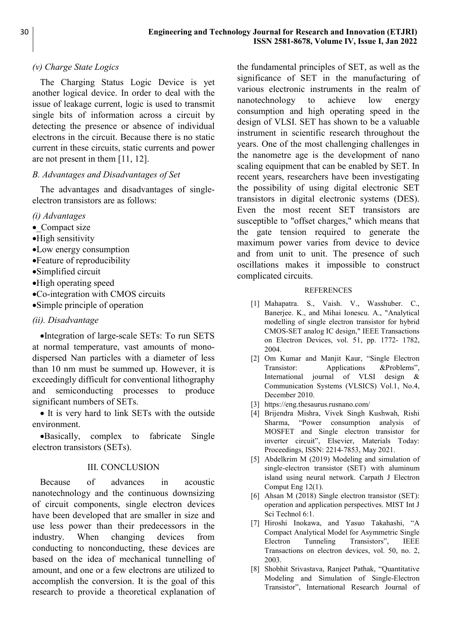# (v) Charge State Logics

The Charging Status Logic Device is yet another logical device. In order to deal with the issue of leakage current, logic is used to transmit single bits of information across a circuit by detecting the presence or absence of individual electrons in the circuit. Because there is no static current in these circuits, static currents and power are not present in them [11, 12].

## B. Advantages and Disadvantages of Set

The advantages and disadvantages of singleelectron transistors are as follows:

#### (i) Advantages

- Compact size
- High sensitivity
- Low energy consumption
- Feature of reproducibility
- Simplified circuit
- High operating speed
- Co-integration with CMOS circuits
- Simple principle of operation

#### (ii). Disadvantage

Integration of large-scale SETs: To run SETS at normal temperature, vast amounts of monodispersed Nan particles with a diameter of less than 10 nm must be summed up. However, it is exceedingly difficult for conventional lithography and semiconducting processes to produce significant numbers of SETs.

• It is very hard to link SETs with the outside environment.

Basically, complex to fabricate Single electron transistors (SETs).

#### III. CONCLUSION

Because of advances in acoustic nanotechnology and the continuous downsizing of circuit components, single electron devices have been developed that are smaller in size and use less power than their predecessors in the industry. When changing devices from conducting to nonconducting, these devices are based on the idea of mechanical tunnelling of amount, and one or a few electrons are utilized to accomplish the conversion. It is the goal of this research to provide a theoretical explanation of

the fundamental principles of SET, as well as the significance of SET in the manufacturing of various electronic instruments in the realm of nanotechnology to achieve low energy consumption and high operating speed in the design of VLSI. SET has shown to be a valuable instrument in scientific research throughout the years. One of the most challenging challenges in the nanometre age is the development of nano scaling equipment that can be enabled by SET. In recent years, researchers have been investigating the possibility of using digital electronic SET transistors in digital electronic systems (DES). Even the most recent SET transistors are susceptible to "offset charges," which means that the gate tension required to generate the maximum power varies from device to device and from unit to unit. The presence of such oscillations makes it impossible to construct complicated circuits.

#### **REFERENCES**

- [1] Mahapatra. S., Vaish. V., Wasshuber. C., Banerjee. K., and Mihai Ionescu. A., "Analytical modelling of single electron transistor for hybrid CMOS-SET analog IC design," IEEE Transactions on Electron Devices, vol. 51, pp. 1772- 1782, 2004.
- [2] Om Kumar and Manjit Kaur, "Single Electron Transistor: Applications &Problems", International journal of VLSI design & Communication Systems (VLSICS) Vol.1, No.4, December 2010.
- [3] https://eng.thesaurus.rusnano.com/
- [4] Brijendra Mishra, Vivek Singh Kushwah, Rishi Sharma, "Power consumption analysis of MOSFET and Single electron transistor for inverter circuit", Elsevier, Materials Today: Proceedings, ISSN: 2214-7853, May 2021.
- [5] Abdelkrim M (2019) Modeling and simulation of single-electron transistor (SET) with aluminum island using neural network. Carpath J Electron Comput Eng 12(1).
- [6] Ahsan M (2018) Single electron transistor (SET): operation and application perspectives. MIST Int J Sci Technol 6:1.
- [7] Hiroshi Inokawa, and Yasuo Takahashi, "A Compact Analytical Model for Asymmetric Single Electron Tunneling Transistors", IEEE Transactions on electron devices, vol. 50, no. 2, 2003.
- [8] Shobhit Srivastava, Ranjeet Pathak, "Quantitative Modeling and Simulation of Single-Electron Transistor", International Research Journal of